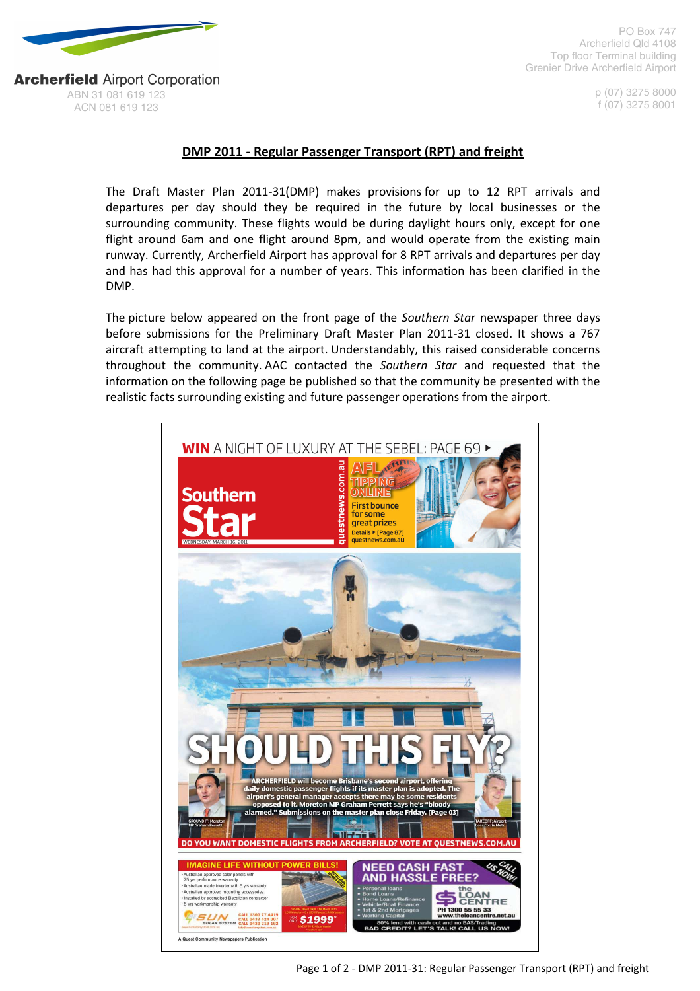

PO Box 747 Archerfield Qld 4108 Top floor Terminal building Grenier Drive Archerfield Airport

> p (07) 3275 8000 f (07) 3275 8001

**Archerfield Airport Corporation** ABN 31 081 619 123 ACN 081 619 123

## DMP 2011 - Regular Passenger Transport (RPT) and freight

The Draft Master Plan 2011-31(DMP) makes provisions for up to 12 RPT arrivals and departures per day should they be required in the future by local businesses or the surrounding community. These flights would be during daylight hours only, except for one flight around 6am and one flight around 8pm, and would operate from the existing main runway. Currently, Archerfield Airport has approval for 8 RPT arrivals and departures per day and has had this approval for a number of years. This information has been clarified in the DMP.

The picture below appeared on the front page of the Southern Star newspaper three days before submissions for the Preliminary Draft Master Plan 2011-31 closed. It shows a 767 aircraft attempting to land at the airport. Understandably, this raised considerable concerns throughout the community. AAC contacted the Southern Star and requested that the information on the following page be published so that the community be presented with the realistic facts surrounding existing and future passenger operations from the airport.